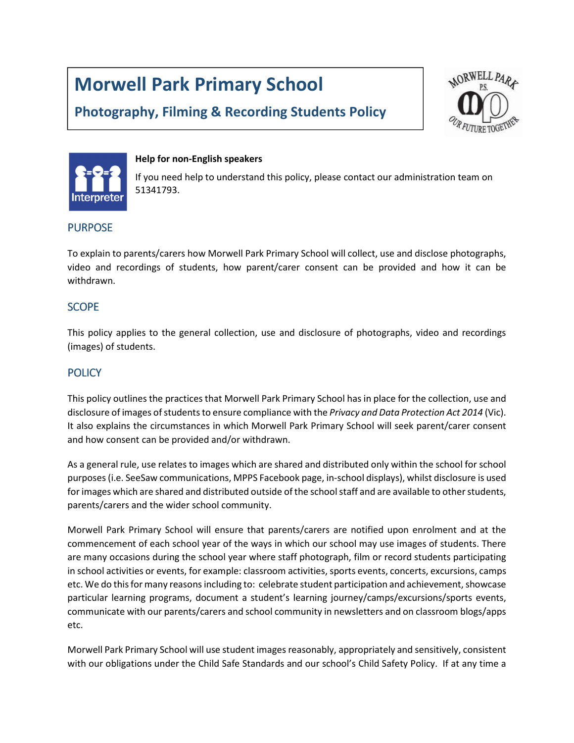# Morwell Park Primary School

# Photography, Filming & Recording Students Policy





#### Help for non-English speakers

If you need help to understand this policy, please contact our administration team on 51341793.

#### **PURPOSE**

To explain to parents/carers how Morwell Park Primary School will collect, use and disclose photographs, video and recordings of students, how parent/carer consent can be provided and how it can be withdrawn.

#### SCOPE

This policy applies to the general collection, use and disclosure of photographs, video and recordings (images) of students.

# **POLICY**

This policy outlines the practices that Morwell Park Primary School has in place for the collection, use and disclosure of images of students to ensure compliance with the Privacy and Data Protection Act 2014 (Vic). It also explains the circumstances in which Morwell Park Primary School will seek parent/carer consent and how consent can be provided and/or withdrawn.

As a general rule, use relates to images which are shared and distributed only within the school for school purposes (i.e. SeeSaw communications, MPPS Facebook page, in-school displays), whilst disclosure is used for images which are shared and distributed outside of the school staff and are available to other students, parents/carers and the wider school community.

Morwell Park Primary School will ensure that parents/carers are notified upon enrolment and at the commencement of each school year of the ways in which our school may use images of students. There are many occasions during the school year where staff photograph, film or record students participating in school activities or events, for example: classroom activities, sports events, concerts, excursions, camps etc. We do this for many reasons including to: celebrate student participation and achievement, showcase particular learning programs, document a student's learning journey/camps/excursions/sports events, communicate with our parents/carers and school community in newsletters and on classroom blogs/apps etc.

Morwell Park Primary School will use student images reasonably, appropriately and sensitively, consistent with our obligations under the Child Safe Standards and our school's Child Safety Policy. If at any time a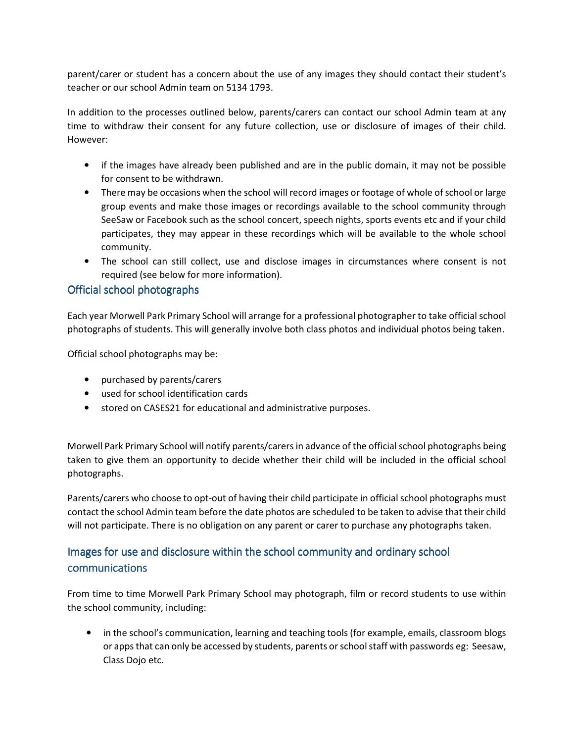parent/carer or student has a concern about the use of any images they should contact their student's teacher or our school Admin team on 5134 1793.

In addition to the processes outlined below, parents/carers can contact our school Admin team at any time to withdraw their consent for any future collection, use or disclosure of images of their child. However:

- if the images have already been published and are in the public domain, it may not be possible for consent to be withdrawn.
- There may be occasions when the school will record images or footage of whole of school or large group events and make those images or recordings available to the school community through SeeSaw or Facebook such as the school concert, speech nights, sports events etc and if your child participates, they may appear in these recordings which will be available to the whole school community.
- The school can still collect, use and disclose images in circumstances where consent is not required (see below for more information).

# Official school photographs

Each year Morwell Park Primary School will arrange for a professional photographer to take official school photographs of students. This will generally involve both class photos and individual photos being taken.

Official school photographs may be:

- purchased by parents/carers
- used for school identification cards
- stored on CASES21 for educational and administrative purposes.

Morwell Park Primary School will notify parents/carers in advance of the official school photographs being taken to give them an opportunity to decide whether their child will be included in the official school photographs.

Parents/carers who choose to opt-out of having their child participate in official school photographs must contact the school Admin team before the date photos are scheduled to be taken to advise that their child will not participate. There is no obligation on any parent or carer to purchase any photographs taken.

# Images for use and disclosure within the school community and ordinary school communications

From time to time Morwell Park Primary School may photograph, film or record students to use within the school community, including:

• in the school's communication, learning and teaching tools (for example, emails, classroom blogs or apps that can only be accessed by students, parents or school staff with passwords eg: Seesaw, Class Dojo etc.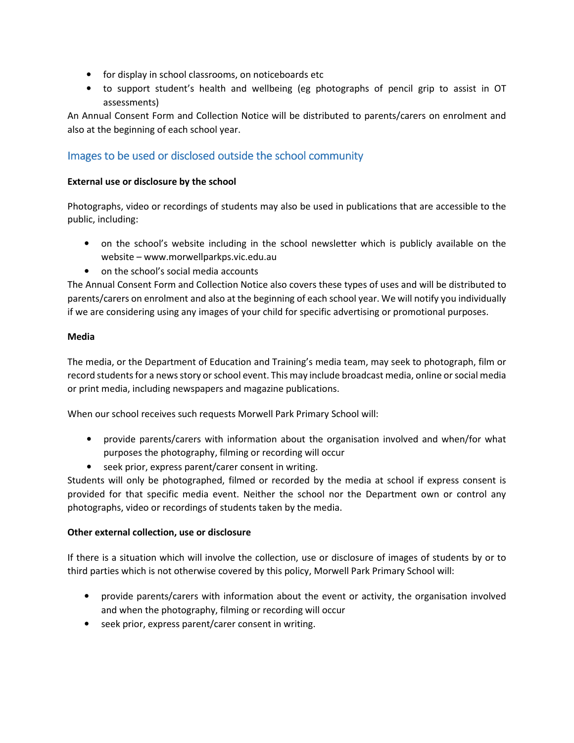- for display in school classrooms, on noticeboards etc
- to support student's health and wellbeing (eg photographs of pencil grip to assist in OT assessments)

An Annual Consent Form and Collection Notice will be distributed to parents/carers on enrolment and also at the beginning of each school year.

## Images to be used or disclosed outside the school community

#### External use or disclosure by the school

Photographs, video or recordings of students may also be used in publications that are accessible to the public, including:

- on the school's website including in the school newsletter which is publicly available on the website – www.morwellparkps.vic.edu.au
- on the school's social media accounts

The Annual Consent Form and Collection Notice also covers these types of uses and will be distributed to parents/carers on enrolment and also at the beginning of each school year. We will notify you individually if we are considering using any images of your child for specific advertising or promotional purposes.

#### Media

The media, or the Department of Education and Training's media team, may seek to photograph, film or record students for a news story or school event. This may include broadcast media, online or social media or print media, including newspapers and magazine publications.

When our school receives such requests Morwell Park Primary School will:

- provide parents/carers with information about the organisation involved and when/for what purposes the photography, filming or recording will occur
- seek prior, express parent/carer consent in writing.

Students will only be photographed, filmed or recorded by the media at school if express consent is provided for that specific media event. Neither the school nor the Department own or control any photographs, video or recordings of students taken by the media.

#### Other external collection, use or disclosure

If there is a situation which will involve the collection, use or disclosure of images of students by or to third parties which is not otherwise covered by this policy, Morwell Park Primary School will:

- provide parents/carers with information about the event or activity, the organisation involved and when the photography, filming or recording will occur
- seek prior, express parent/carer consent in writing.